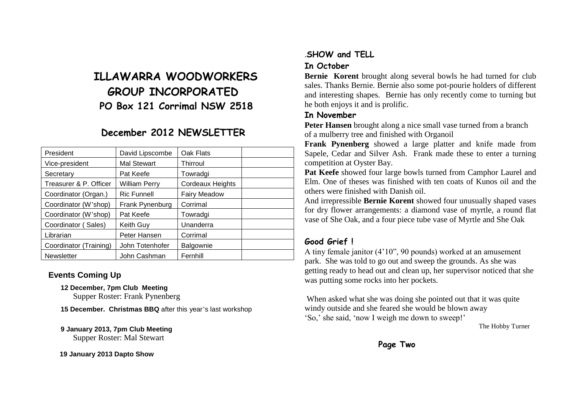## **ILLAWARRA WOODWORKERS GROUP INCORPORATED PO Box 121 Corrimal NSW 2518**

## **December 2012 NEWSLETTER**

| President              | David Lipscombe      | Oak Flats               |
|------------------------|----------------------|-------------------------|
| Vice-president         | <b>Mal Stewart</b>   | Thirroul                |
| Secretary              | Pat Keefe            | Towradgi                |
| Treasurer & P. Officer | <b>William Perry</b> | <b>Cordeaux Heights</b> |
| Coordinator (Organ.)   | <b>Ric Funnell</b>   | <b>Fairy Meadow</b>     |
| Coordinator (W'shop)   | Frank Pynenburg      | Corrimal                |
| Coordinator (W'shop)   | Pat Keefe            | Towradgi                |
| Coordinator (Sales)    | <b>Keith Guy</b>     | Unanderra               |
| Librarian              | Peter Hansen         | Corrimal                |
| Coordinator (Training) | John Totenhofer      | Balgownie               |
| <b>Newsletter</b>      | John Cashman         | Fernhill                |

### **Events Coming Up**

**12 December, 7pm Club Meeting**

Supper Roster: Frank Pynenberg

**15 December. Christmas BBQ** after this year's last workshop

#### **9 January 2013, 7pm Club Meeting** Supper Roster: Mal Stewart

 **19 January 2013 Dapto Show**

# .**SHOW and TELL**

### **In October**

**Bernie Korent** brought along several bowls he had turned for club sales. Thanks Bernie. Bernie also some pot-pourie holders of different and interesting shapes. Bernie has only recently come to turning but he both enjoys it and is prolific.

### **In November**

**Peter Hansen** brought along a nice small vase turned from a branch of a mulberry tree and finished with Organoil

**Frank Pynenberg** showed a large platter and knife made from Sapele, Cedar and Silver Ash. Frank made these to enter a turning competition at Oyster Bay.

**Pat Keefe** showed four large bowls turned from Camphor Laurel and Elm. One of theses was finished with ten coats of Kunos oil and the others were finished with Danish oil.

And irrepressible **Bernie Korent** showed four unusually shaped vases for dry flower arrangements: a diamond vase of myrtle, a round flat vase of She Oak, and a four piece tube vase of Myrtle and She Oak

### **Good Grief !**

A tiny female janitor (4'10", 90 pounds) worked at an amusement park. She was told to go out and sweep the grounds. As she was getting ready to head out and clean up, her supervisor noticed that she was putting some rocks into her pockets.

When asked what she was doing she pointed out that it was quite windy outside and she feared she would be blown away 'So,' she said, 'now I weigh me down to sweep!'

The Hobby Turner

**Page Two**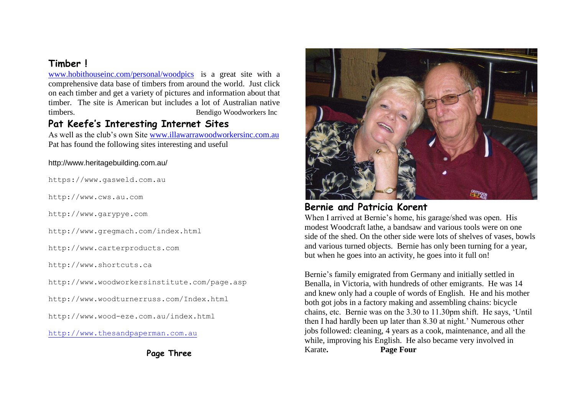## **Timber !**

[www.hobithouseinc.com/personal/woodpics](http://www.hobithouseinc.com/personal/woodpics) is a great site with a comprehensive data base of timbers from around the world. Just click on each timber and get a variety of pictures and information about that timber. The site is American but includes a lot of Australian native timbers. Bendigo Woodworkers Inc

### **Pat Keefe's Interesting Internet Sites**

As well as the club's own Site [www.illawarrawoodworkersinc.com.au](http://www.illawarrawoodworkersinc.com.au/) Pat has found the following sites interesting and useful

#### http://www.heritagebuilding.com.au/

https://www.gasweld.com.au

http://www.cws.au.com

http://www.garypye.com

http://www.gregmach.com/index.html

http://www.carterproducts.com

http://www.shortcuts.ca

http://www.woodworkersinstitute.com/page.asp

http://www.woodturnerruss.com/Index.html

http://www.wood-eze.com.au/index.html

[http://www.thesandpaperman.com.au](http://www.thesandpaperman.com.au/)

**Page Three**



### **Bernie and Patricia Korent**

When I arrived at Bernie's home, his garage/shed was open. His modest Woodcraft lathe, a bandsaw and various tools were on one side of the shed. On the other side were lots of shelves of vases, bowls and various turned objects. Bernie has only been turning for a year, but when he goes into an activity, he goes into it full on!

Bernie's family emigrated from Germany and initially settled in Benalla, in Victoria, with hundreds of other emigrants. He was 14 and knew only had a couple of words of English. He and his mother both got jobs in a factory making and assembling chains: bicycle chains, etc. Bernie was on the 3.30 to 11.30pm shift. He says, 'Until then I had hardly been up later than 8.30 at night.' Numerous other jobs followed: cleaning, 4 years as a cook, maintenance, and all the while, improving his English. He also became very involved in Karate**. Page Four**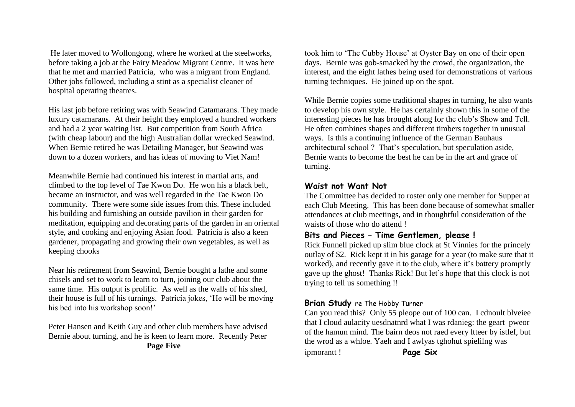He later moved to Wollongong, where he worked at the steelworks, before taking a job at the Fairy Meadow Migrant Centre. It was here that he met and married Patricia, who was a migrant from England. Other jobs followed, including a stint as a specialist cleaner of hospital operating theatres.

His last job before retiring was with Seawind Catamarans. They made luxury catamarans. At their height they employed a hundred workers and had a 2 year waiting list. But competition from South Africa (with cheap labour) and the high Australian dollar wrecked Seawind. When Bernie retired he was Detailing Manager, but Seawind was down to a dozen workers, and has ideas of moving to Viet Nam!

Meanwhile Bernie had continued his interest in martial arts, and climbed to the top level of Tae Kwon Do. He won his a black belt, became an instructor, and was well regarded in the Tae Kwon Do community. There were some side issues from this. These included his building and furnishing an outside pavilion in their garden for meditation, equipping and decorating parts of the garden in an oriental style, and cooking and enjoying Asian food. Patricia is also a keen gardener, propagating and growing their own vegetables, as well as keeping chooks

Near his retirement from Seawind, Bernie bought a lathe and some chisels and set to work to learn to turn, joining our club about the same time. His output is prolific. As well as the walls of his shed, their house is full of his turnings. Patricia jokes, 'He will be moving his bed into his workshop soon!'

Peter Hansen and Keith Guy and other club members have advised Bernie about turning, and he is keen to learn more. Recently Peter **Page Five**

took him to 'The Cubby House' at Oyster Bay on one of their open days. Bernie was gob-smacked by the crowd, the organization, the interest, and the eight lathes being used for demonstrations of various turning techniques. He joined up on the spot.

While Bernie copies some traditional shapes in turning, he also wants to develop his own style. He has certainly shown this in some of the interesting pieces he has brought along for the club's Show and Tell. He often combines shapes and different timbers together in unusual ways. Is this a continuing influence of the German Bauhaus architectural school ? That's speculation, but speculation aside, Bernie wants to become the best he can be in the art and grace of turning.

### **Waist not Want Not**

The Committee has decided to roster only one member for Supper at each Club Meeting. This has been done because of somewhat smaller attendances at club meetings, and in thoughtful consideration of the waists of those who do attend !

### **Bits and Pieces – Time Gentlemen, please !**

Rick Funnell picked up slim blue clock at St Vinnies for the princely outlay of \$2. Rick kept it in his garage for a year (to make sure that it worked), and recently gave it to the club, where it's battery promptly gave up the ghost! Thanks Rick! But let's hope that this clock is not trying to tell us something !!

### **Brian Study** re The Hobby Turner

Can you read this? Only 55 pleope out of 100 can. I cdnoult blveiee that I cloud aulacity uesdnatnrd what I was rdanieg: the geart pweor of the hamun mind. The bairn deos not raed every ltteer by istlef, but the wrod as a whloe. Yaeh and I awlyas tghohut spielilng was ipmorantt ! **Page Six**